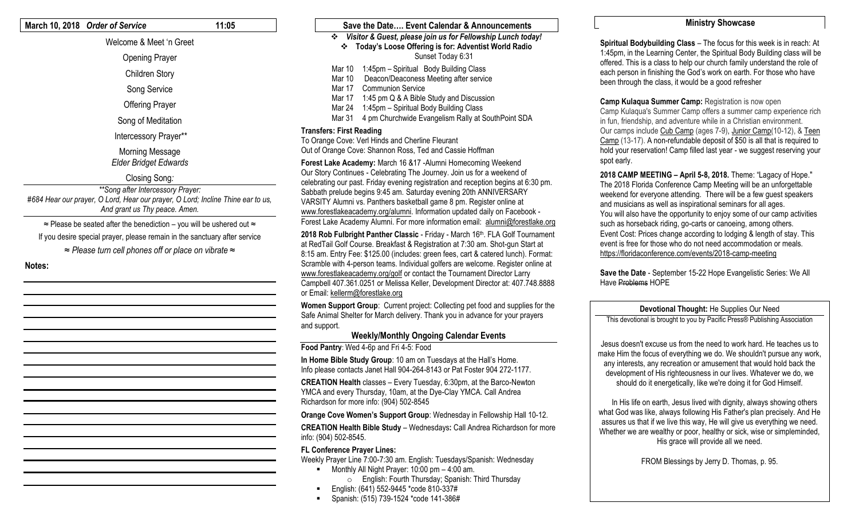#### **March 10, 2018** *Order of Service* **11:05**

#### Welcome & Meet 'n Greet

Opening Prayer

Children Story

Song Service

Offering Prayer

Song of Meditation

Intercessory Prayer\*\*

#### Morning Message *Elder Bridget Edwards*

## Closing Song*:*

*\*\*Song after Intercessory Prayer: #684 Hear our prayer, O Lord, Hear our prayer, O Lord; Incline Thine ear to us, And grant us Thy peace. Amen.* 

≈ Please be seated after the benediction – you will be ushered out ≈

If you desire special prayer, please remain in the sanctuary after service

*≈ Please turn cell phones off or place on vibrate ≈*

**Notes:**

#### **Save the Date…. Event Calendar & Announcements** *Visitor & Guest, please join us for Fellowship Lunch today!* **Today's Loose Offering is for: Adventist World Radio** Sunset Today 6:31 Mar 10 1:45pm – Spiritual Body Building Class Mar 10 Deacon/Deaconess Meeting after service Mar 17 Communion Service

- Mar 17 1:45 pm Q & A Bible Study and Discussion
- Mar 24 1:45pm Spiritual Body Building Class
- Mar 31 4 pm Churchwide Evangelism Rally at SouthPoint SDA

#### **Transfers: First Reading**

To Orange Cove: Verl Hinds and Cherline Fleurant Out of Orange Cove: Shannon Ross, Ted and Cassie Hoffman

**Forest Lake Academy:** March 16 &17 -Alumni Homecoming Weekend Our Story Continues - Celebrating The Journey. Join us for a weekend of celebrating our past. Friday evening registration and reception begins at 6:30 pm. Sabbath prelude begins 9:45 am. Saturday evening 20th ANNIVERSARY VARSITY Alumni vs. Panthers basketball game 8 pm. Register online at [www.forestlakeacademy.org/alumni.](http://www.forestlakeacademy.org/alumni) Information updated daily on Facebook - Forest Lake Academy Alumni. For more information email: [alumni@forestlake.org](mailto:alumni@forestlake.org)

2018 Rob Fulbright Panther Classic - Friday - March 16th. FLA Golf Tournament at RedTail Golf Course. Breakfast & Registration at 7:30 am. Shot-gun Start at 8:15 am. Entry Fee: \$125.00 (includes: green fees, cart & catered lunch). Format: Scramble with 4-person teams. Individual golfers are welcome. Register online at [www.forestlakeacademy.org/golf](http://www.forestlakeacademy.org/golf) or contact the Tournament Director Larry Campbell 407.361.0251 or Melissa Keller, Development Director at: 407.748.8888 or Email: [kellerm@forestlake.org](mailto:kellerm@forestlake.org)

**Women Support Group**: Current project: Collecting pet food and supplies for the Safe Animal Shelter for March delivery. Thank you in advance for your prayers and support.

### **Weekly/Monthly Ongoing Calendar Events**

**Food Pantry**: Wed 4-6p and Fri 4-5: Food

**In Home Bible Study Group**: 10 am on Tuesdays at the Hall's Home. Info please contacts Janet Hall 904-264-8143 or Pat Foster 904 272-1177.

**CREATION Health** classes – Every Tuesday, 6:30pm, at the Barco-Newton YMCA and every Thursday, 10am, at the Dye-Clay YMCA. Call Andrea Richardson for more info: (904) 502-8545

**Orange Cove Women's Support Group**: Wednesday in Fellowship Hall 10-12.

**CREATION Health Bible Study** – Wednesdays**:** Call Andrea Richardson for more info: (904) 502-8545.

### **FL Conference Prayer Lines:**

Weekly Prayer Line 7:00-7:30 am. English: Tuesdays/Spanish: Wednesday

- $\blacksquare$  Monthly All Night Prayer: 10:00 pm 4:00 am.
	- o English: Fourth Thursday; Spanish: Third Thursday
- English: (641) 552-9445 \*code 810-337#
- Spanish: (515) 739-1524 \*code 141-386#

### **Ministry Showcase**

**Spiritual Bodybuilding Class** – The focus for this week is in reach: At 1:45pm, in the Learning Center, the Spiritual Body Building class will be offered. This is a class to help our church family understand the role of each person in finishing the God's work on earth. For those who have been through the class, it would be a good refresher

**Camp Kulaqua Summer Camp:** Registration is now open Camp Kulaqua's Summer Camp offers a summer camp experience rich in fun, friendship, and adventure while in a Christian environment. Our camps include [Cub Camp](http://trk.cp20.com/click/lmxmu-czsnr3-6q9e1u39/) (ages 7-9), [Junior Camp\(](http://trk.cp20.com/click/lmxmu-czsnr4-6q9e1u30/)10-12), & [Teen](http://trk.cp20.com/click/lmxmu-czsnr5-6q9e1u31/) [Camp](http://trk.cp20.com/click/lmxmu-czsnr5-6q9e1u31/) (13-17). A non-refundable deposit of \$50 is all that is required to hold your reservation! Camp filled last year - we suggest reserving your spot early.

**2018 CAMP MEETING – April 5-8, 2018.** Theme: "Lagacy of Hope." The 2018 Florida Conference Camp Meeting will be an unforgettable weekend for everyone attending. There will be a few guest speakers and musicians as well as inspirational seminars for all ages. You will also have the opportunity to enjoy some of our camp activities such as horseback riding, go-carts or canoeing, among others. Event Cost: Prices change according to lodging & length of stay. This event is free for those who do not need accommodation or meals. <https://floridaconference.com/events/2018-camp-meeting>

**Save the Date** - September 15-22 Hope Evangelistic Series: We All Have Problems HOPE

### **Devotional Thought:** He Supplies Our Need

This devotional is brought to you by Pacific Press® Publishing Association

Jesus doesn't excuse us from the need to work hard. He teaches us to make Him the focus of everything we do. We shouldn't pursue any work, any interests, any recreation or amusement that would hold back the development of His righteousness in our lives. Whatever we do, we should do it energetically, like we're doing it for God Himself.

 In His life on earth, Jesus lived with dignity, always showing others what God was like, always following His Father's plan precisely. And He assures us that if we live this way, He will give us everything we need. Whether we are wealthy or poor, healthy or sick, wise or simpleminded, His grace will provide all we need.

FROM Blessings by Jerry D. Thomas, p. 95.